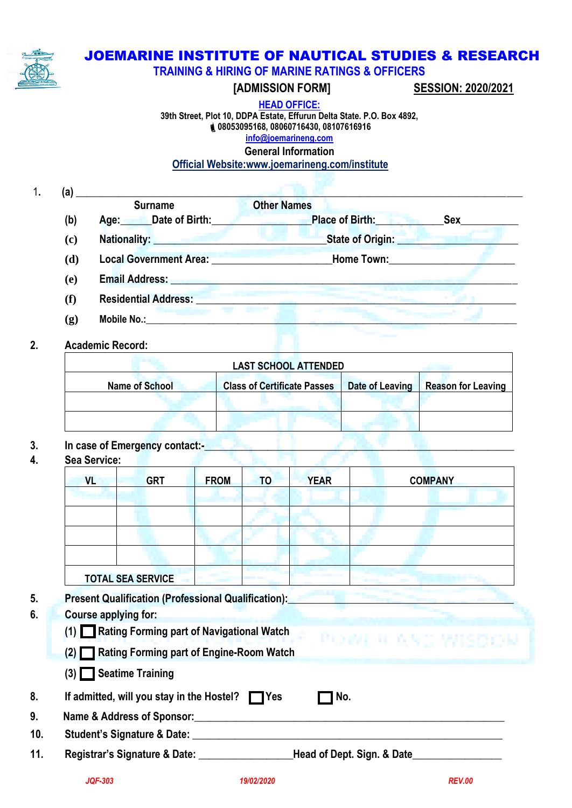

## JOEMARINE INSTITUTE OF NAUTICAL STUDIES & RESEARCH

**TRAINING & HIRING OF MARINE RATINGS & OFFICERS**

 **[ADMISSION FORM] SESSION: 2020/2021** 

**HEAD OFFICE:**

**39th Street, Plot 10, DDPA Estate, Effurun Delta State. P.O. Box 4892, 08053095168, 08060716430, 08107616916 [info@joemarineng.com](mailto:info@joemarineng.com)**

**General Information**

## **Official Website:www.joemarineng.com/institute**

1**. (a)** \_\_\_\_\_\_\_\_\_\_\_\_\_\_\_\_\_\_\_\_\_\_\_\_\_\_\_\_\_\_\_\_\_\_\_\_\_\_\_\_\_\_\_\_\_\_\_\_\_\_\_\_\_\_\_\_\_\_\_\_\_\_\_\_\_\_\_\_\_\_\_\_\_\_\_\_\_\_\_\_\_\_\_\_\_ **Surname Communication Communication Communication Communication Communication Communication Communication Communication Communication Communication Communication Communication Communication Communication Communication Com (b) Age:\_\_\_\_\_\_Date of Birth:\_\_\_\_\_\_\_\_\_\_\_\_\_\_\_\_\_\_\_Place of Birth:\_\_\_\_\_\_\_\_\_\_\_\_\_Sex\_\_\_\_\_\_\_\_\_\_\_ (c) Nationality: \_\_\_\_\_\_\_\_\_\_\_\_\_\_\_\_\_\_\_\_\_\_\_\_\_\_\_\_\_\_\_\_\_State of Origin: \_\_\_\_\_\_\_\_\_\_\_\_\_\_\_\_\_\_\_\_\_\_\_ (d) Local Government Area: \_\_\_\_\_\_\_\_\_\_\_\_\_\_\_\_\_\_\_\_\_\_\_Home Town:\_\_\_\_\_\_\_\_\_\_\_\_\_\_\_\_\_\_\_\_\_\_\_\_**

- **(e) Email Address: \_\_\_\_\_\_\_\_\_\_\_\_\_\_\_\_\_\_\_\_\_\_\_\_\_\_\_\_\_\_\_\_\_\_\_\_\_\_\_\_\_\_\_\_\_\_\_\_\_\_\_\_\_\_\_\_\_\_\_\_\_\_\_\_\_\_**
- **(f) Residential Address: \_\_\_\_\_\_\_\_\_\_\_\_\_\_\_\_\_\_\_\_\_\_\_\_\_\_\_\_\_\_\_\_\_\_\_\_\_\_\_\_\_\_\_\_\_\_\_\_\_\_\_\_\_\_\_\_\_\_\_\_\_**
- **(g) Mobile No.:\_\_\_\_\_\_\_\_\_\_\_\_\_\_\_\_\_\_\_\_\_\_\_\_\_\_\_\_\_\_\_\_\_\_\_\_\_\_\_\_\_\_\_\_\_\_\_\_\_\_\_\_\_\_\_\_\_\_\_\_\_\_\_\_\_\_\_\_\_\_\_\_\_\_\_\_\_**

# **2. Academic Record:**

| <b>LAST SCHOOL ATTENDED</b> |                                    |                 |                           |  |  |  |  |  |  |
|-----------------------------|------------------------------------|-----------------|---------------------------|--|--|--|--|--|--|
| <b>Name of School</b>       | <b>Class of Certificate Passes</b> | Date of Leaving | <b>Reason for Leaving</b> |  |  |  |  |  |  |
|                             |                                    |                 |                           |  |  |  |  |  |  |
|                             |                                    |                 |                           |  |  |  |  |  |  |

# **3. In case of Emergency contact:-\_\_\_\_\_\_\_\_\_\_\_\_\_\_\_\_\_\_\_\_\_\_\_\_\_\_\_\_\_\_\_\_\_\_\_\_\_\_\_\_\_\_\_\_\_\_\_\_\_\_\_\_\_\_\_\_\_\_\_**

**4. Sea Service:**

|     | <b>VL</b>                                                        | <b>GRT</b>                  | <b>FROM</b> | <b>TO</b> | <b>YEAR</b>                                                                     | <b>COMPANY</b> |  |  |
|-----|------------------------------------------------------------------|-----------------------------|-------------|-----------|---------------------------------------------------------------------------------|----------------|--|--|
|     |                                                                  |                             |             |           |                                                                                 |                |  |  |
|     |                                                                  |                             |             |           |                                                                                 |                |  |  |
|     |                                                                  |                             |             |           |                                                                                 |                |  |  |
|     |                                                                  |                             |             |           |                                                                                 |                |  |  |
|     | <b>TOTAL SEA SERVICE</b>                                         |                             |             |           |                                                                                 |                |  |  |
|     | <b>Present Qualification (Professional Qualification):</b>       |                             |             |           |                                                                                 |                |  |  |
|     |                                                                  | <b>Course applying for:</b> |             |           |                                                                                 |                |  |  |
|     | (1) <b>Rating Forming part of Navigational Watch</b>             |                             |             |           |                                                                                 |                |  |  |
|     | POWER AND WISDOM<br>(2) Rating Forming part of Engine-Room Watch |                             |             |           |                                                                                 |                |  |  |
|     | $(3)$ Seatime Training                                           |                             |             |           |                                                                                 |                |  |  |
|     | If admitted, will you stay in the Hostel? TYes                   |                             |             |           | No.                                                                             |                |  |  |
|     | Name & Address of Sponsor:                                       |                             |             |           |                                                                                 |                |  |  |
|     |                                                                  |                             |             |           |                                                                                 |                |  |  |
| 10. | Student's Signature & Date: ___________                          |                             |             |           | the contract of the contract of the contract of the contract of the contract of |                |  |  |

*JQF-303 19/02/2020 REV.00*